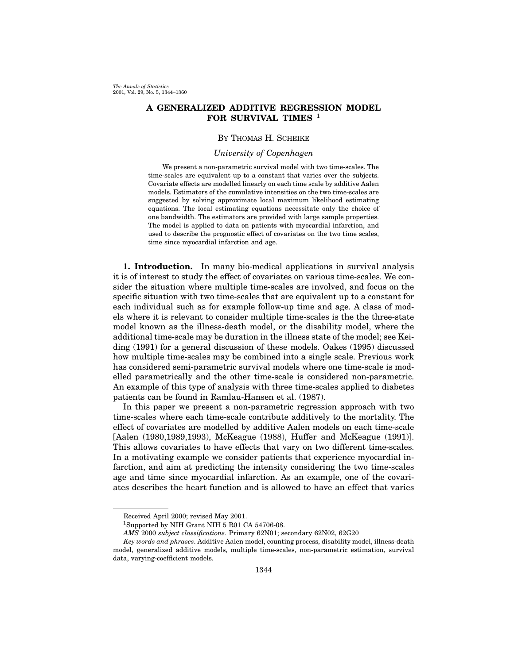# A GENERALIZED ADDITIVE REGRESSION MODEL FOR SURVIVAL TIMES <sup>1</sup>

## By Thomas H. Scheike

# University of Copenhagen

We present a non-parametric survival model with two time-scales. The time-scales are equivalent up to a constant that varies over the subjects. Covariate effects are modelled linearly on eachtime scale by additive Aalen models. Estimators of the cumulative intensities on the two time-scales are suggested by solving approximate local maximum likelihood estimating equations. The local estimating equations necessitate only the choice of one bandwidth. The estimators are provided with large sample properties. The model is applied to data on patients with myocardial infarction, and used to describe the prognostic effect of covariates on the two time scales, time since myocardial infarction and age.

1. Introduction. In many bio-medical applications in survival analysis it is of interest to study the effect of covariates on various time-scales. We consider the situation where multiple time-scales are involved, and focus on the specific situation with two time-scales that are equivalent up to a constant for each individual such as for example follow-up time and age. A class of models where it is relevant to consider multiple time-scales is the the three-state model known as the illness-death model, or the disability model, where the additional time-scale may be duration in the illness state of the model; see Keiding (1991) for a general discussion of these models. Oakes (1995) discussed how multiple time-scales may be combined into a single scale. Previous work has considered semi-parametric survival models where one time-scale is modelled parametrically and the other time-scale is considered non-parametric. An example of this type of analysis with three time-scales applied to diabetes patients can be found in Ramlau-Hansen et al. (1987).

In this paper we present a non-parametric regression approach with two time-scales where each time-scale contribute additively to the mortality. The effect of covariates are modelled by additive Aalen models on each time-scale [Aalen (1980,1989,1993), McKeague (1988), Huffer and McKeague (1991)]. This allows covariates to have effects that vary on two different time-scales. In a motivating example we consider patients that experience myocardial infarction, and aim at predicting the intensity considering the two time-scales age and time since myocardial infarction. As an example, one of the covariates describes the heart function and is allowed to have an effect that varies

Received April 2000; revised May 2001.

<sup>1</sup>Supported by NIH Grant NIH 5 R01 CA 54706-08.

AMS 2000 subject classifications. Primary 62N01; secondary 62N02, 62G20

Key words and phrases. Additive Aalen model, counting process, disability model, illness-death model, generalized additive models, multiple time-scales, non-parametric estimation, survival data, varying-coefficient models.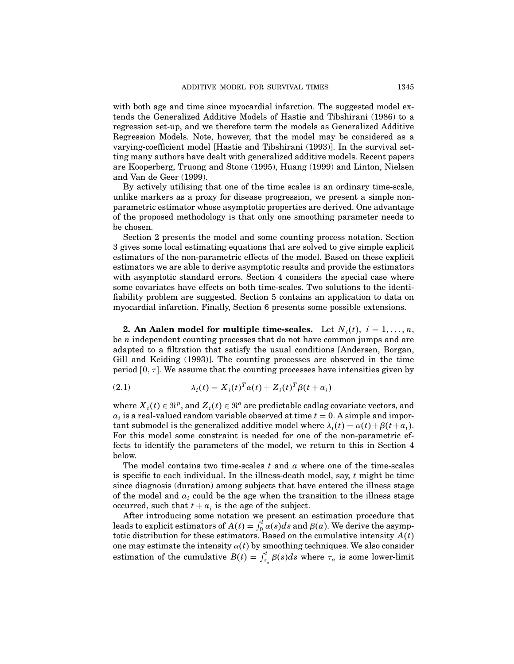with both age and time since myocardial infarction. The suggested model extends the Generalized Additive Models of Hastie and Tibshirani (1986) to a regression set-up, and we therefore term the models as Generalized Additive Regression Models. Note, however, that the model may be considered as a varying-coefficient model [Hastie and Tibshirani (1993)]. In the survival setting many authors have dealt with generalized additive models. Recent papers are Kooperberg, Truong and Stone (1995), Huang (1999) and Linton, Nielsen and Van de Geer (1999).

By actively utilising that one of the time scales is an ordinary time-scale, unlike markers as a proxy for disease progression, we present a simple nonparametric estimator whose asymptotic properties are derived. One advantage of the proposed methodology is that only one smoothing parameter needs to be chosen.

Section 2 presents the model and some counting process notation. Section 3 gives some local estimating equations that are solved to give simple explicit estimators of the non-parametric effects of the model. Based on these explicit estimators we are able to derive asymptotic results and provide the estimators with asymptotic standard errors. Section 4 considers the special case where some covariates have effects on both time-scales. Two solutions to the identifiability problem are suggested. Section 5 contains an application to data on myocardial infarction. Finally, Section 6 presents some possible extensions.

**2.** An Aalen model for multiple time-scales. Let  $N_i(t)$ ,  $i = 1, ..., n$ , be *n* independent counting processes that do not have common jumps and are adapted to a filtration that satisfy the usual conditions [Andersen, Borgan, Gill and Keiding (1993)]. The counting processes are observed in the time period  $[0, \tau]$ . We assume that the counting processes have intensities given by

(2.1) 
$$
\lambda_i(t) = X_i(t)^T \alpha(t) + Z_i(t)^T \beta(t + a_i)
$$

where  $X_i(t) \in \mathbb{R}^p$ , and  $Z_i(t) \in \mathbb{R}^q$  are predictable cadlag covariate vectors, and  $a_i$  is a real-valued random variable observed at time  $t = 0$ . A simple and important submodel is the generalized additive model where  $\lambda_i(t) = \alpha(t) + \beta(t + a_i)$ . For this model some constraint is needed for one of the non-parametric effects to identify the parameters of the model, we return to this in Section 4 below.

The model contains two time-scales  $t$  and  $a$  where one of the time-scales is specific to each individual. In the illness-death model, say,  $t$  might be time since diagnosis (duration) among subjects that have entered the illness stage of the model and  $a_i$  could be the age when the transition to the illness stage occurred, such that  $t + a_i$  is the age of the subject.

After introducing some notation we present an estimation procedure that leads to explicit estimators of  $A(t) = \int_0^t \alpha(s) ds$  and  $\beta(a)$ . We derive the asymptotic distribution for these estimators. Based on the cumulative intensity  $A(t)$ one may estimate the intensity  $\alpha(t)$  by smoothing techniques. We also consider estimation of the cumulative  $B(t) = \int_{\tau_a}^t \beta(s)ds$  where  $\tau_a$  is some lower-limit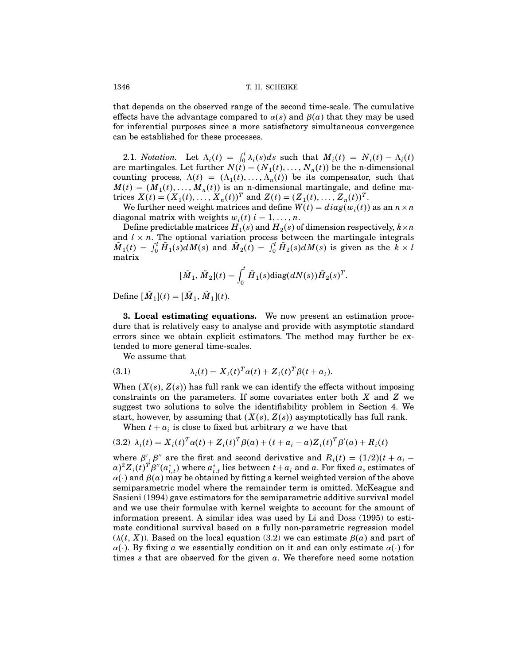that depends on the observed range of the second time-scale. The cumulative effects have the advantage compared to  $\alpha(s)$  and  $\beta(a)$  that they may be used for inferential purposes since a more satisfactory simultaneous convergence can be established for these processes.

2.1. Notation. Let  $\Lambda_i(t) = \int_0^t \lambda_i(s)ds$  such that  $M_i(t) = N_i(t) - \Lambda_i(t)$  are martingales. Let further  $N(t) = (N_1(t), \ldots, N_n(t))$  be the n-dimensional counting process,  $\Lambda(t) = (\Lambda_1(t), \ldots, \Lambda_n(t))$  be its compensator, such that  $M(t) = (M_1(t), \ldots, M_n(t))$  is an n-dimensional martingale, and define matrices  $X(t) = (X_1(t), ..., X_n(t))^T$  and  $Z(t) = (Z_1(t), ..., Z_n(t))^T$ .

We further need weight matrices and define  $W(t) = diag(w_i(t))$  as an  $n \times n$ diagonal matrix with weights  $w_i(t)$   $i = 1, ..., n$ .

Define predictable matrices  $H_1(s)$  and  $H_2(s)$  of dimension respectively,  $k \times n$ and  $l \times n$ . The optional variation process between the martingale integrals  $\tilde{M}_1(t) = \int_0^t \tilde{H}_1(s) dM(s)$  and  $\tilde{M}_2(t) = \int_0^t \tilde{H}_2(s) dM(s)$  is given as the  $\tilde{k} \times l$ matrix

$$
[\tilde{M}_1, \tilde{M}_2](t) = \int_0^t \tilde{H}_1(s) \text{diag}(dN(s)) \tilde{H}_2(s)^T.
$$

Define  $[M_1](t) = [M_1, M_1](t)$ .

**3. Local estimating equations.** We now present an estimation procedure that is relatively easy to analyse and provide with asymptotic standard errors since we obtain explicit estimators. The method may further be extended to more general time-scales.

We assume that

(3.1) 
$$
\lambda_i(t) = X_i(t)^T \alpha(t) + Z_i(t)^T \beta(t + a_i).
$$

When  $(X(s), Z(s))$  has full rank we can identify the effects without imposing constraints on the parameters. If some covariates enter both X and Z we suggest two solutions to solve the identifiability problem in Section 4. We start, however, by assuming that  $(X(s), Z(s))$  asymptotically has full rank.

When  $t + a_i$  is close to fixed but arbitrary a we have that

$$
(3.2) \ \lambda_i(t) = X_i(t)^T \alpha(t) + Z_i(t)^T \beta(a) + (t + a_i - a) Z_i(t)^T \beta'(a) + R_i(t)
$$

where  $\beta'$ ,  $\beta''$  are the first and second derivative and  $R_i(t) = (1/2)(t + a_i$  $a)^2 Z_i(t)^T \beta''(a^*_{i,t})$  where  $a^*_{i,t}$  lies between  $t + a_i$  and  $a$ . For fixed  $a$ , estimates of  $\alpha(\cdot)$  and  $\beta(a)$  may be obtained by fitting a kernel weighted version of the above semiparametric model where the remainder term is omitted. McKeague and Sasieni (1994) gave estimators for the semiparametric additive survival model and we use their formulae with kernel weights to account for the amount of information present. A similar idea was used by Li and Doss (1995) to estimate conditional survival based on a fully non-parametric regression model  $(\lambda(t, X))$ . Based on the local equation (3.2) we can estimate  $\beta(a)$  and part of  $\alpha(\cdot)$ . By fixing a we essentially condition on it and can only estimate  $\alpha(\cdot)$  for times s that are observed for the given  $a$ . We therefore need some notation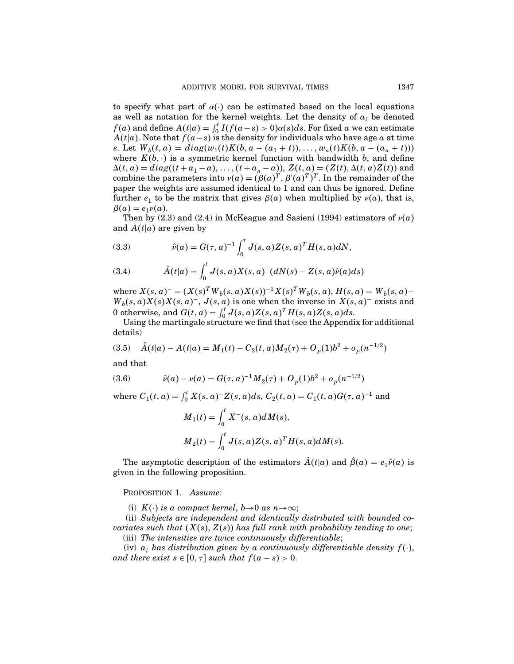to specify what part of  $\alpha(\cdot)$  can be estimated based on the local equations as well as notation for the kernel weights. Let the density of  $a_i$  be denoted  $f(a)$  and define  $A(t|a) = \int_0^t I(f(a-s) > 0)a(s)ds$ . For fixed a we can estimate  $A(t|a)$ . Note that  $f(a-s)$  is the density for individuals who have age a at time s. Let  $W_b(t, a) = diag(w_1(t)K(b, a - (a_1 + t)), \ldots, w_n(t)K(b, a - (a_n + t)))$ where  $K(b, \cdot)$  is a symmetric kernel function with bandwidth b, and define  $\Delta(t, a) = diag((t + a_1 - a), \dots, (t + a_n - a))$ ,  $Z(t, a) = (Z(t), \Delta(t, a)Z(t))$  and combine the parameters into  $\nu(a) = (\beta(a)^T, \beta'(a)^T)^T$ . In the remainder of the paper the weights are assumed identical to 1 and can thus be ignored. Define further  $e_1$  to be the matrix that gives  $\beta(a)$  when multiplied by  $\nu(a)$ , that is,  $\beta(a) = e_1 \nu(a).$ 

Then by (2.3) and (2.4) in McKeague and Sasieni (1994) estimators of  $\nu(a)$ and  $A(t|a)$  are given by

(3.3) 
$$
\hat{\nu}(a) = G(\tau, a)^{-1} \int_0^{\tau} J(s, a) Z(s, a)^T H(s, a) dN,
$$

(3.4) 
$$
\hat{A}(t|a) = \int_0^t J(s,a)X(s,a)^{-}(dN(s) - Z(s,a)\hat{\nu}(a)ds)
$$

where  $X(s, a) = (X(s)^T W_b(s, a) X(s))^{-1} X(s)^T W_b(s, a), H(s, a) = W_b(s, a)$  $W_b(s,a)X(s)X(s,a)^{-}$ ,  $J(s,a)$  is one when the inverse in  $X(s,a)^{-}$  exists and 0 otherwise, and  $G(t, a) = \int_0^t J(s, a)Z(s, a)^T H(s, a)Z(s, a)ds$ .

Using the martingale structure we find that (see the Appendix for additional details)

$$
(3.5) \quad \hat{A}(t|a) - A(t|a) = M_1(t) - C_2(t,a)M_2(\tau) + O_p(1)b^2 + o_p(n^{-1/2})
$$

and that

(3.6) 
$$
\hat{v}(a) - v(a) = G(\tau, a)^{-1} M_2(\tau) + O_p(1) b^2 + o_p(n^{-1/2})
$$

where  $C_1(t, a) = \int_0^t X(s, a)^{-} Z(s, a) ds$ ,  $C_2(t, a) = C_1(t, a) G(\tau, a)^{-1}$  and

$$
M_1(t) = \int_0^t X^-(s, a)dM(s),
$$
  
\n
$$
M_2(t) = \int_0^t J(s, a)Z(s, a)^T H(s, a)dM(s).
$$

The asymptotic description of the estimators  $A(t|a)$  and  $\hat{\beta}(a) = e_1 \hat{\nu}(a)$  is given in the following proposition.

#### PROPOSITION 1. Assume:

(i)  $K(\cdot)$  is a compact kernel,  $b \rightarrow 0$  as  $n \rightarrow \infty$ ;

(ii) Subjects are independent and identically distributed with bounded covariates such that  $(X(s), Z(s))$  has full rank with probability tending to one;

(iii) The intensities are twice continuously differentiable;

(iv)  $a_i$  has distribution given by a continuously differentiable density  $f(\cdot)$ , and there exist  $s \in [0, \tau]$  such that  $f(a - s) > 0$ .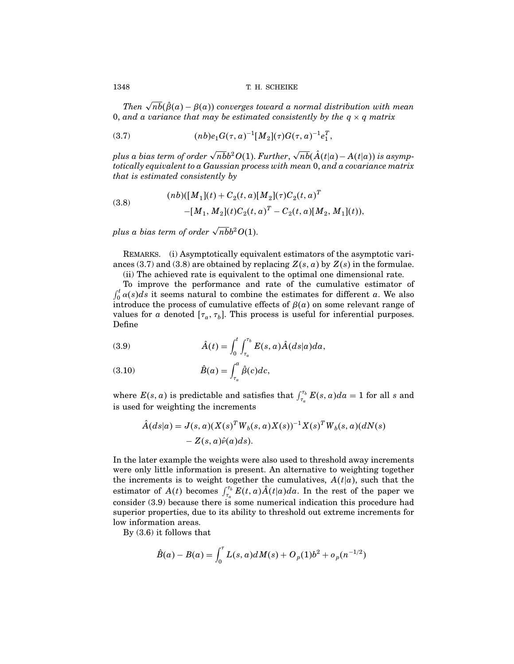Then  $\sqrt{nb}(\hat{\beta}(a)-\beta(a))$  converges toward a normal distribution with mean 0, and a variance that may be estimated consistently by the  $q \times q$  matrix

(3.7) 
$$
(nb)e_1G(\tau,a)^{-1}[M_2](\tau)G(\tau,a)^{-1}e_1^T,
$$

plus a bias term of order  $\sqrt{n b} b^2 O(1)$ . Further,  $\sqrt{n b} (\hat{A}(t|a) - A(t|a))$  is asymptotically equivalent to a Gaussian process with mean 0, and a covariance matrix that is estimated consistently by

(3.8) 
$$
(nb)([M_1](t) + C_2(t, a)[M_2](\tau)C_2(t, a)^T - [M_1, M_2](t)C_2(t, a)^T - C_2(t, a)[M_2, M_1](t)),
$$

plus a bias term of order  $\sqrt{n}b^2O(1)$ .

REMARKS. (i) Asymptotically equivalent estimators of the asymptotic variances (3.7) and (3.8) are obtained by replacing  $Z(s, a)$  by  $Z(s)$  in the formulae.

(ii) The achieved rate is equivalent to the optimal one dimensional rate.

To improve the performance and rate of the cumulative estimator of  $\int_0^t \alpha(s) ds$  it seems natural to combine the estimates for different a. We also introduce the process of cumulative effects of  $\beta(a)$  on some relevant range of values for a denoted  $[\tau_a, \tau_b]$ . This process is useful for inferential purposes. Define

(3.9) 
$$
\hat{A}(t) = \int_0^t \int_{\tau_a}^{\tau_b} E(s, a) \hat{A}(ds|a) da,
$$

(3.10) 
$$
\hat{B}(a) = \int_{\tau_a}^a \hat{\beta}(c) dc,
$$

where  $E(s, a)$  is predictable and satisfies that  $\int_{\tau_a}^{\tau_b} E(s, a)da = 1$  for all s and is used for weighting the increments

$$
\hat{A}(ds|a) = J(s,a)(X(s)^T W_b(s,a)X(s))^{-1} X(s)^T W_b(s,a)(dN(s) - Z(s,a)\hat{\nu}(a)ds).
$$

In the later example the weights were also used to threshold away increments were only little information is present. An alternative to weighting together the increments is to weight together the cumulatives,  $A(t|a)$ , such that the estimator of  $A(t)$  becomes  $\int_{\tau_a}^{\tau_b} E(t, a) \hat{A}(t|a) da$ . In the rest of the paper we consider (3.9) because there is some numerical indication this procedure had superior properties, due to its ability to threshold out extreme increments for low information areas.

By (3.6) it follows that

$$
\hat{B}(a) - B(a) = \int_0^{\tau} L(s, a) dM(s) + O_p(1) b^2 + o_p(n^{-1/2})
$$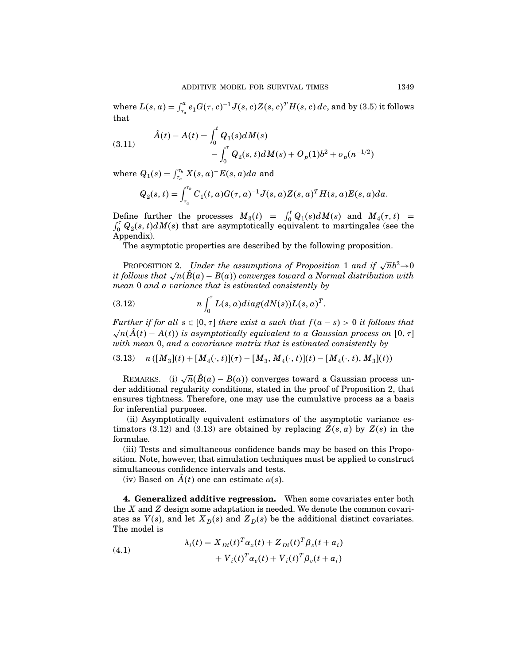where  $L(s, a) = \int_{\tau_a}^a e_1 G(\tau, c)^{-1} J(s, c) Z(s, c)^T H(s, c) \, dc$ , and by (3.5) it follows that

(3.11) 
$$
\hat{A}(t) - A(t) = \int_0^t Q_1(s) dM(s) - \int_0^{\tau} Q_2(s, t) dM(s) + O_p(1) b^2 + o_p(n^{-1/2})
$$

where  $Q_1(s) = \int_{\tau_a}^{\tau_b} X(s, a)^- E(s, a) da$  and

$$
Q_2(s,t) = \int_{\tau_a}^{\tau_b} C_1(t,a) G(\tau,a)^{-1} J(s,a) Z(s,a)^T H(s,a) E(s,a) da.
$$

Define further the processes  $M_3(t) = \int_0^t Q_1(s) dM(s)$  and  $M_4(\tau, t) = \int_0^{\tau} Q_2(s, t) dM(s)$  that are asymptotically equivalent to martingales (see the Appendix).

The asymptotic properties are described by the following proposition.

PROPOSITION 2. Under the assumptions of Proposition 1 and if  $\sqrt{n}b^2 \rightarrow 0$ it follows that  $\sqrt{n}(\hat{B}(a) - B(a))$  converges toward a Normal distribution with mean 0 and a variance that is estimated consistently by

(3.12) 
$$
n \int_0^{\tau} L(s, a) diag(dN(s))L(s, a)^T.
$$

Further if for all  $s \in [0, \tau]$  there exist a such that  $f(a - s) > 0$  it follows that  $\sqrt{n}(\hat{A}(t) - A(t))$  is asymptotically equivalent to a Gaussian process on  $[0, \tau]$ with mean 0, and a covariance matrix that is estimated consistently by

$$
(3.13) \quad n([M_3](t) + [M_4(\cdot, t)](\tau) - [M_3, M_4(\cdot, t)](t) - [M_4(\cdot, t), M_3](t))
$$

REMARKS. (i)  $\sqrt{n}(\hat{B}(a) - B(a))$  converges toward a Gaussian process under additional regularity conditions, stated in the proof of Proposition 2, that ensures tightness. Therefore, one may use the cumulative process as a basis for inferential purposes.

(ii) Asymptotically equivalent estimators of the asymptotic variance estimators (3.12) and (3.13) are obtained by replacing  $Z(s, a)$  by  $Z(s)$  in the formulae.

(iii) Tests and simultaneous confidence bands may be based on this Proposition. Note, however, that simulation techniques must be applied to construct simultaneous confidence intervals and tests.

(iv) Based on  $A(t)$  one can estimate  $\alpha(s)$ .

4. Generalized additive regression. When some covariates enter both the X and Z design some adaptation is needed. We denote the common covariates as  $V(s)$ , and let  $X_D(s)$  and  $Z_D(s)$  be the additional distinct covariates. The model is

(4.1) 
$$
\lambda_i(t) = X_{Di}(t)^T \alpha_x(t) + Z_{Di}(t)^T \beta_z(t + a_i) + V_i(t)^T \alpha_v(t) + V_i(t)^T \beta_v(t + a_i)
$$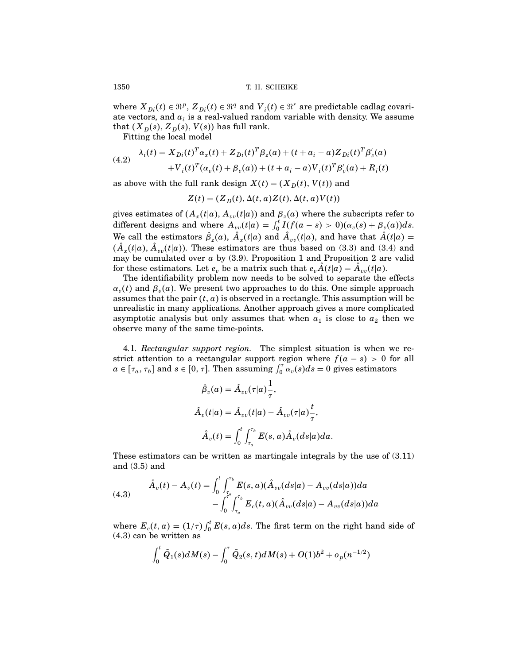where  $X_{Di}(t) \in \mathbb{R}^p$ ,  $Z_{Di}(t) \in \mathbb{R}^q$  and  $V_i(t) \in \mathbb{R}^r$  are predictable cadlag covariate vectors, and  $a_i$  is a real-valued random variable with density. We assume that  $(X_D(s), Z_D(s), V(s))$  has full rank.

Fitting the local model

(4.2) 
$$
\lambda_i(t) = X_{Di}(t)^T \alpha_x(t) + Z_{Di}(t)^T \beta_z(a) + (t + a_i - a) Z_{Di}(t)^T \beta'_z(a) + V_i(t)^T (\alpha_v(t) + \beta_v(a)) + (t + a_i - a) V_i(t)^T \beta'_v(a) + R_i(t)
$$

as above with the full rank design  $X(t) = (X_D(t), V(t))$  and

$$
Z(t) = (Z_D(t), \Delta(t, a)Z(t), \Delta(t, a)V(t))
$$

gives estimates of  $(A_x(t|a), A_{vv}(t|a))$  and  $\beta_z(a)$  where the subscripts refer to different designs and where  $A_{vv}(t|a) = \int_0^t I(f(a-s) > 0)(\alpha_v(s) + \beta_v(a))ds$ . We call the estimators  $\hat{\beta}_z(a)$ ,  $A_x(t|a)$  and  $A_{vv}(t|a)$ , and have that  $A(t|a)$  =  $(A_x(t|a), A_{vv}(t|a))$ . These estimators are thus based on (3.3) and (3.4) and may be cumulated over  $a$  by (3.9). Proposition 1 and Proposition 2 are valid for these estimators. Let  $e_v$  be a matrix such that  $e_v A(t|a) = A_{vv}(t|a)$ .

The identifiability problem now needs to be solved to separate the effects  $\alpha_v(t)$  and  $\beta_v(a)$ . We present two approaches to do this. One simple approach assumes that the pair  $(t, a)$  is observed in a rectangle. This assumption will be unrealistic in many applications. Another approach gives a more complicated asymptotic analysis but only assumes that when  $a_1$  is close to  $a_2$  then we observe many of the same time-points.

4.1. Rectangular support region. The simplest situation is when we restrict attention to a rectangular support region where  $f(a - s) > 0$  for all  $a \in [\tau_a, \tau_b]$  and  $s \in [0, \tau]$ . Then assuming  $\int_0^{\tau} \alpha_v(s) ds = 0$  gives estimators

$$
\hat{\beta}_v(a) = \hat{A}_{vv}(\tau|a)\frac{1}{\tau},
$$
  

$$
\hat{A}_v(t|a) = \hat{A}_{vv}(t|a) - \hat{A}_{vv}(\tau|a)\frac{t}{\tau},
$$
  

$$
\hat{A}_v(t) = \int_0^t \int_{\tau_a}^{\tau_b} E(s, a)\hat{A}_v(ds|a)da.
$$

These estimators can be written as martingale integrals by the use of (3.11) and (3.5) and

(4.3) 
$$
\hat{A}_v(t) - A_v(t) = \int_0^t \int_{\tau_a}^{\tau_b} E(s, a)(\hat{A}_{vv}(ds|a) - A_{vv}(ds|a))da - \int_0^{\tau_a} \int_{\tau_a}^{\tau_b} E_c(t, a)(\hat{A}_{vv}(ds|a) - A_{vv}(ds|a))da
$$

where  $E_c(t, a) = (1/\tau) \int_0^t E(s, a) ds$ . The first term on the right hand side of (4.3) can be written as

$$
\int_0^t \tilde{Q}_1(s)dM(s) - \int_0^{\tau} \tilde{Q}_2(s,t)dM(s) + O(1)b^2 + o_p(n^{-1/2})
$$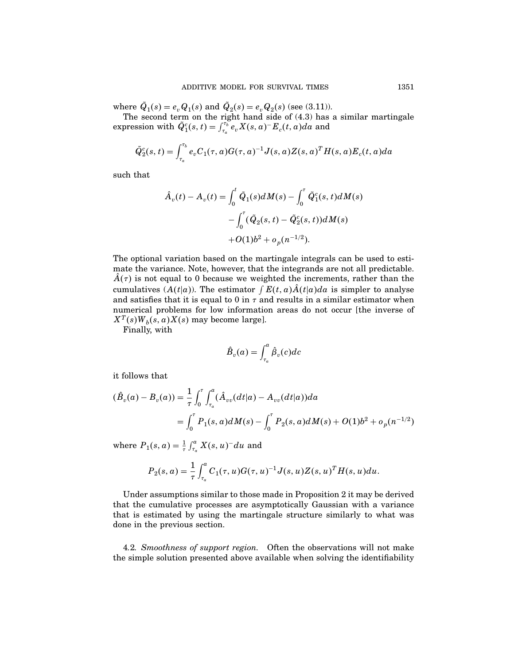where  $Q_1(s) = e_v Q_1(s)$  and  $Q_2(s) = e_v Q_2(s)$  (see (3.11)).

The second term on the right hand side of  $(4.3)$  has a similar martingale expression with  $\tilde{Q}_1^c(s,t) = \int_{\tau_a}^{\tau_b} e_v X(s,a)^{-} E_c(t,a) da$  and

$$
\tilde{Q}_2^c(s,t) = \int_{\tau_a}^{\tau_b} e_v C_1(\tau,a) G(\tau,a)^{-1} J(s,a) Z(s,a)^T H(s,a) E_c(t,a) da
$$

such that

$$
\hat{A}_v(t) - A_v(t) = \int_0^t \tilde{Q}_1(s) dM(s) - \int_0^{\tau} \tilde{Q}_1^c(s, t) dM(s) \n- \int_0^{\tau} (\tilde{Q}_2(s, t) - \tilde{Q}_2^c(s, t)) dM(s) \n+ O(1)b^2 + o_p(n^{-1/2}).
$$

The optional variation based on the martingale integrals can be used to estimate the variance. Note, however, that the integrands are not all predictable.  $A(\tau)$  is not equal to 0 because we weighted the increments, rather than the cumulatives  $(A(t|a))$ . The estimator  $\int E(t, a)A(t|a)da$  is simpler to analyse and satisfies that it is equal to 0 in  $\tau$  and results in a similar estimator when numerical problems for low information areas do not occur [the inverse of  $X^T(s)W_b(s,a)X(s)$  may become large].

Finally, with

$$
\hat{B}_v(a) = \int_{\tau_a}^a \hat{\beta}_v(c) dc
$$

it follows that

$$
(\hat{B}_v(a) - B_v(a)) = \frac{1}{\tau} \int_0^{\tau} \int_{\tau_a}^a (\hat{A}_{vv}(dt|a) - A_{vv}(dt|a)) da
$$
  
= 
$$
\int_0^{\tau} P_1(s, a) dM(s) - \int_0^{\tau} P_2(s, a) dM(s) + O(1)b^2 + o_p(n^{-1/2})
$$

where  $P_1(s, a) = \frac{1}{\tau} \int_{\tau_a}^a X(s, u)^- du$  and

$$
P_2(s, a) = \frac{1}{\tau} \int_{\tau_a}^a C_1(\tau, u) G(\tau, u)^{-1} J(s, u) Z(s, u)^T H(s, u) du.
$$

Under assumptions similar to those made in Proposition 2 it may be derived that the cumulative processes are asymptotically Gaussian with a variance that is estimated by using the martingale structure similarly to what was done in the previous section.

4.2. Smoothness of support region. Often the observations will not make the simple solution presented above available when solving the identifiability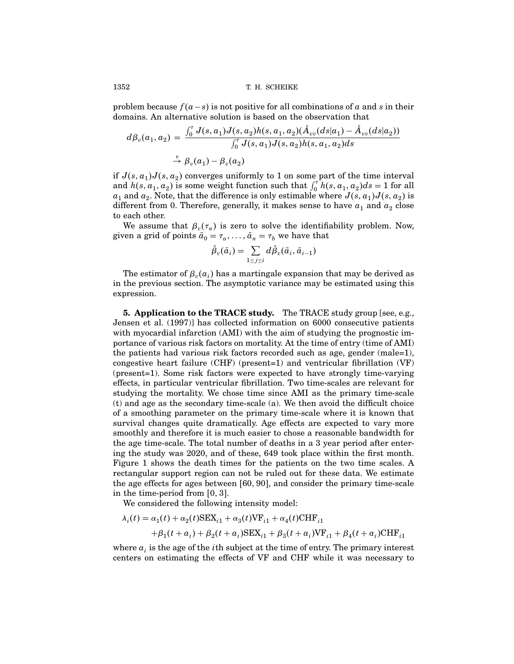problem because  $f(a-s)$  is not positive for all combinations of  $a$  and  $s$  in their domains. An alternative solution is based on the observation that

$$
d\beta_v(a_1, a_2) = \frac{\int_0^{\tau} J(s, a_1)J(s, a_2)h(s, a_1, a_2)(\hat{A}_{vv}(ds|a_1) - \hat{A}_{vv}(ds|a_2))}{\int_0^{\tau} J(s, a_1)J(s, a_2)h(s, a_1, a_2)ds}
$$
  
 
$$
\stackrel{\text{P}}{\rightarrow} \beta_v(a_1) - \beta_v(a_2)
$$

if  $J(s, a_1)J(s, a_2)$  converges uniformly to 1 on some part of the time interval and  $h(s, a_1, a_2)$  is some weight function such that  $\int_0^{\tau} h(s, a_1, a_2) ds = 1$  for all  $a_1$  and  $a_2$ . Note, that the difference is only estimable where  $J(s, a_1)J(s, a_2)$  is different from 0. Therefore, generally, it makes sense to have  $a_1$  and  $a_2$  close to each other.

We assume that  $\beta_v(\tau_a)$  is zero to solve the identifiability problem. Now, given a grid of points  $\tilde{a}_0 = \tau_a, \ldots, \tilde{a}_n = \tau_b$  we have that

$$
\hat{\beta}_v(\tilde{a}_i) = \sum_{1 \leq j \leq i} d\hat{\beta}_v(\tilde{a}_i, \tilde{a}_{i-1})
$$

The estimator of  ${\beta _v}(a_i)$  has a martingale expansion that may be derived as in the previous section. The asymptotic variance may be estimated using this expression.

5. Application to the TRACE study. The TRACE study group [see, e.g., Jensen et al. (1997)] has collected information on 6000 consecutive patients with myocardial infarction  $(AMI)$  with the aim of studying the prognostic importance of various risk factors on mortality. At the time of entry (time of AMI) the patients had various risk factors recorded such as age, gender (male=1), congestive heart failure (CHF) (present=1) and ventricular fibrillation (VF) (present=1). Some risk factors were expected to have strongly time-varying effects, in particular ventricular fibrillation. Two time-scales are relevant for studying the mortality. We chose time since AMI as the primary time-scale (t) and age as the secondary time-scale (a). We then avoid the difficult choice of a smoothing parameter on the primary time-scale where it is known that survival changes quite dramatically. Age effects are expected to vary more smoothly and therefore it is much easier to chose a reasonable bandwidth for the age time-scale. The total number of deaths in a 3 year period after entering the study was 2020, and of these, 649 took place within the first month. Figure 1 shows the death times for the patients on the two time scales. A rectangular support region can not be ruled out for these data. We estimate the age effects for ages between  $[60, 90]$ , and consider the primary time-scale in the time-period from  $[0, 3]$ .

We considered the following intensity model:

$$
\lambda_i(t) = \alpha_1(t) + \alpha_2(t) \text{SEX}_{i1} + \alpha_3(t) \text{VF}_{i1} + \alpha_4(t) \text{CHF}_{i1} + \beta_1(t + a_i) + \beta_2(t + a_i) \text{SEX}_{i1} + \beta_3(t + a_i) \text{VF}_{i1} + \beta_4(t + a_i) \text{CHF}_{i1}
$$

where  $a_i$  is the age of the *i*th subject at the time of entry. The primary interest centers on estimating the effects of VF and CHF while it was necessary to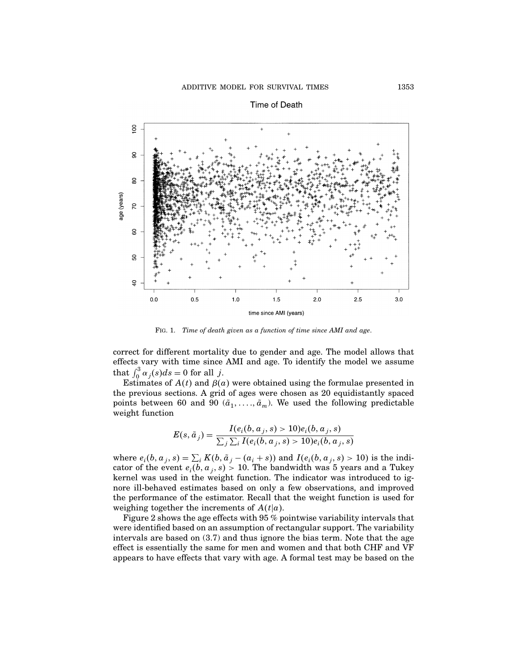

Time of Death

Fig. 1. Time of death given as a function of time since AMI and age.

correct for different mortality due to gender and age. The model allows that effects vary with time since AMI and age. To identify the model we assume that  $\int_0^3 \alpha_j(s) ds = 0$  for all j.

Estimates of  $A(t)$  and  $\beta(a)$  were obtained using the formulae presented in the previous sections. A grid of ages were chosen as 20 equidistantly spaced points between 60 and 90  $(\tilde{a}_1, \ldots, \tilde{a}_m)$ . We used the following predictable weight function

$$
E(s, \tilde{a}_j) = \frac{I(e_i(b, a_j, s) > 10)e_i(b, a_j, s)}{\sum_j \sum_i I(e_i(b, a_j, s) > 10)e_i(b, a_j, s)}
$$

where  $e_i(b, a_j, s) = \sum_i K(b, \tilde{a}_j - (a_i + s))$  and  $I(e_i(b, a_j, s) > 10)$  is the indicator of the event  $e_i(b, a_j, s) > 10$ . The bandwidth was 5 years and a Tukey kernel was used in the weight function. The indicator was introduced to ignore ill-behaved estimates based on only a few observations, and improved the performance of the estimator. Recall that the weight function is used for weighing together the increments of  $A(t|a)$ .

Figure 2 shows the age effects with 95 % pointwise variability intervals that were identified based on an assumption of rectangular support. The variability intervals are based on (3.7) and thus ignore the bias term. Note that the age effect is essentially the same for men and women and that both CHF and VF appears to have effects that vary with age. A formal test may be based on the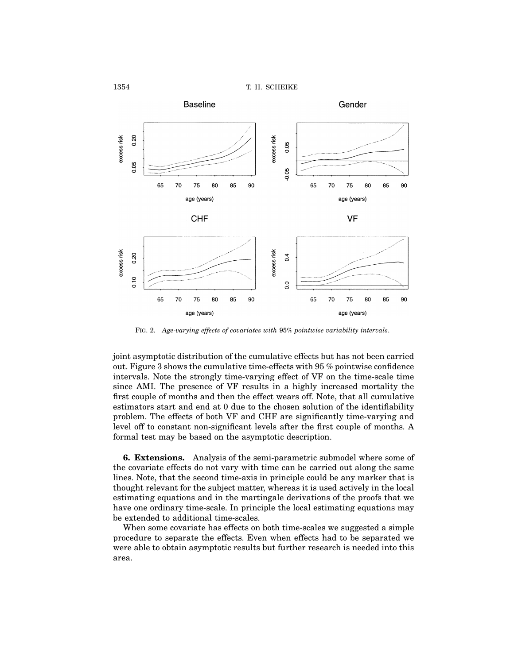



Fig. 2. Age-varying effects of covariates with 95% pointwise variability intervals.

joint asymptotic distribution of the cumulative effects but has not been carried out. Figure 3 shows the cumulative time-effects with 95 % pointwise confidence intervals. Note the strongly time-varying effect of VF on the time-scale time since AMI. The presence of VF results in a highly increased mortality the first couple of months and then the effect wears off. Note, that all cumulative estimators start and end at 0 due to the chosen solution of the identifiability problem. The effects of both VF and CHF are significantly time-varying and level off to constant non-significant levels after the first couple of months. A formal test may be based on the asymptotic description.

6. Extensions. Analysis of the semi-parametric submodel where some of the covariate effects do not vary with time can be carried out along the same lines. Note, that the second time-axis in principle could be any marker that is thought relevant for the subject matter, whereas it is used actively in the local estimating equations and in the martingale derivations of the proofs that we have one ordinary time-scale. In principle the local estimating equations may be extended to additional time-scales.

When some covariate has effects on both time-scales we suggested a simple procedure to separate the effects. Even when effects had to be separated we were able to obtain asymptotic results but further research is needed into this area.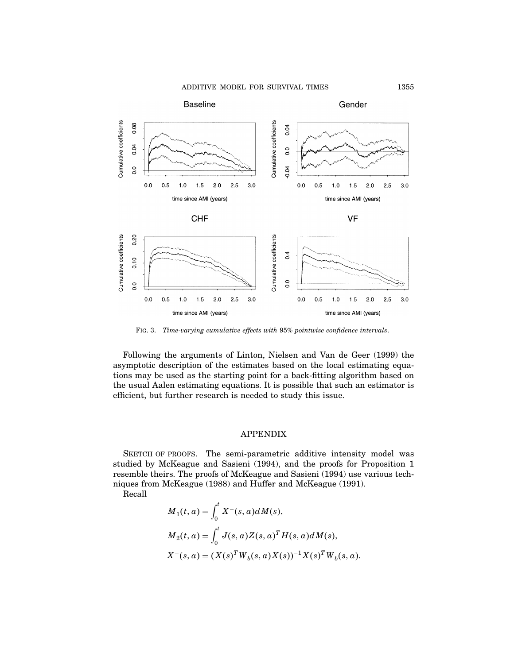ADDITIVE MODEL FOR SURVIVAL TIMES 1355



Fig. 3. Time-varying cumulative effects with 95% pointwise confidence intervals.

Following the arguments of Linton, Nielsen and Van de Geer (1999) the asymptotic description of the estimates based on the local estimating equations may be used as the starting point for a back-fitting algorithm based on the usual Aalen estimating equations. It is possible that such an estimator is efficient, but further research is needed to study this issue.

## APPENDIX

SKETCH OF PROOFS. The semi-parametric additive intensity model was studied by McKeague and Sasieni (1994), and the proofs for Proposition 1 resemble theirs. The proofs of McKeague and Sasieni (1994) use various techniques from McKeague (1988) and Huffer and McKeague (1991).

Recall

$$
M_1(t, a) = \int_0^t X^-(s, a) dM(s),
$$
  
\n
$$
M_2(t, a) = \int_0^t J(s, a) Z(s, a)^T H(s, a) dM(s),
$$
  
\n
$$
X^-(s, a) = (X(s)^T W_b(s, a) X(s))^{-1} X(s)^T W_b(s, a).
$$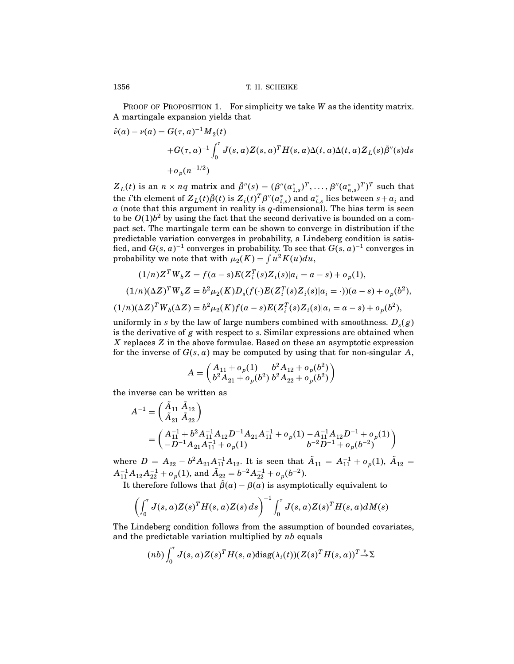PROOF OF PROPOSITION 1. For simplicity we take  $W$  as the identity matrix. A martingale expansion yields that

$$
\hat{\nu}(a) - \nu(a) = G(\tau, a)^{-1} M_2(t)
$$
  
+
$$
G(\tau, a)^{-1} \int_0^{\tau} J(s, a) Z(s, a)^T H(s, a) \Delta(t, a) \Delta(t, a) Z_L(s) \tilde{\beta}''(s) ds
$$
  
+
$$
\sigma_p(n^{-1/2})
$$

 $Z_L(t)$  is an  $n \times nq$  matrix and  $\tilde{\beta}''(s) = (\beta''(\alpha^*_{1,s})^T, \dots, \beta''(\alpha^*_{n,s})^T)^T$  such that the *i*'th element of  $Z_L(t)\tilde{\beta}(t)$  is  $Z_i(t)^T\beta''(a^*_{i,s})$  and  $a^*_{i,s}$  lies between  $s+a_i$  and  $a$  (note that this argument in reality is  $q$ -dimensional). The bias term is seen to be  $O(1)$  $b^2$  by using the fact that the second derivative is bounded on a compact set. The martingale term can be shown to converge in distribution if the predictable variation converges in probability, a Lindeberg condition is satisfied, and  $G(s, a)^{-1}$  converges in probability. To see that  $G(s, a)^{-1}$  converges in probability we note that with  $\mu_2(K) = \int u^2K(u)du$ ,

$$
(1/n)Z^T W_b Z = f(a - s)E(Z_i^T(s)Z_i(s)|a_i = a - s) + o_p(1),
$$
  

$$
(1/n)(\Delta Z)^T W_b Z = b^2 \mu_2(K)D_s(f(\cdot)E(Z_i^T(s)Z_i(s)|a_i = \cdot))(a - s) + o_p(b^2),
$$
  

$$
(1/n)(\Delta Z)^T W_b(\Delta Z) = b^2 \mu_2(K)f(a - s)E(Z_i^T(s)Z_i(s)|a_i = a - s) + o_p(b^2),
$$

uniformly in s by the law of large numbers combined with smoothness.  $D_s(g)$ is the derivative of  $g$  with respect to  $s$ . Similar expressions are obtained when X replaces Z in the above formulae. Based on these an asymptotic expression for the inverse of  $G(s, a)$  may be computed by using that for non-singular  $A$ ,

$$
A = \begin{pmatrix} A_{11} + o_p(1) & b^2 A_{12} + o_p(b^2) \\ b^2 A_{21} + o_p(b^2) & b^2 A_{22} + o_p(b^2) \end{pmatrix}
$$

the inverse can be written as

$$
A^{-1} = \begin{pmatrix} A_{11} A_{12} \\ \tilde{A}_{21} \tilde{A}_{22} \end{pmatrix}
$$
  
= 
$$
\begin{pmatrix} A_{11}^{-1} + b^2 A_{11}^{-1} A_{12} D^{-1} A_{21} A_{11}^{-1} + o_p(1) - A_{11}^{-1} A_{12} D^{-1} + o_p(1) \\ -D^{-1} A_{21} A_{11}^{-1} + o_p(1) & b^{-2} D^{-1} + o_p(b^{-2}) \end{pmatrix}
$$

where  $D = A_{22} - b^2 A_{21} A_{11}^{-1} A_{12}$ . It is seen that  $\tilde{A}_{11} = A_{11}^{-1} + o_p(1)$ ,  $\tilde{A}_{12} =$  $A_{11}^{-1}A_{12}A_{22}^{-1} + o_p(1)$ , and  $\tilde{A}_{22} = b^{-2}A_{22}^{-1} + o_p(b^{-2})$ .

It therefore follows that  $\beta(a) - \beta(a)$  is asymptotically equivalent to

$$
\left(\int_0^{\tau} J(s,a)Z(s)^T H(s,a)Z(s) ds\right)^{-1} \int_0^{\tau} J(s,a)Z(s)^T H(s,a) dM(s)
$$

The Lindeberg condition follows from the assumption of bounded covariates, and the predictable variation multiplied by  $nb$  equals

$$
(nb) \int_0^{\tau} J(s, a)Z(s)^{T}H(s, a) \text{diag}(\lambda_i(t))(Z(s)^{T}H(s, a))^{T} \overset{\text{p}}{\rightarrow} \Sigma
$$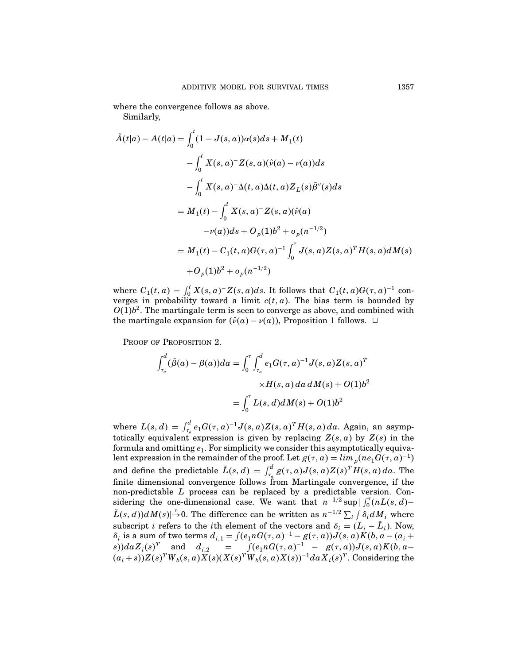where the convergence follows as above.

Similarly,

$$
\hat{A}(t|a) - A(t|a) = \int_0^t (1 - J(s, a))\alpha(s)ds + M_1(t)
$$
  
\n
$$
- \int_0^t X(s, a)^{-} Z(s, a)(\hat{\nu}(a) - \nu(a))ds
$$
  
\n
$$
- \int_0^t X(s, a)^{-} \Delta(t, a)\Delta(t, a)Z_L(s)\tilde{\beta}''(s)ds
$$
  
\n
$$
= M_1(t) - \int_0^t X(s, a)^{-} Z(s, a)(\hat{\nu}(a)
$$
  
\n
$$
- \nu(a))ds + O_p(1)b^2 + o_p(n^{-1/2})
$$
  
\n
$$
= M_1(t) - C_1(t, a)G(\tau, a)^{-1} \int_0^{\tau} J(s, a)Z(s, a)^{T}H(s, a)dM(s)
$$
  
\n
$$
+ O_p(1)b^2 + o_p(n^{-1/2})
$$

where  $C_1(t, a) = \int_0^t X(s, a)^{-} Z(s, a) ds$ . It follows that  $C_1(t, a)G(\tau, a)^{-1}$  converges in probability toward a limit  $c(t, a)$ . The bias term is bounded by  $O(1) b<sup>2</sup>$ . The martingale term is seen to converge as above, and combined with the martingale expansion for  $(\hat{v}(a) - v(a))$ , Proposition 1 follows.  $\Box$ 

PROOF OF PROPOSITION 2.

$$
\int_{\tau_a}^d (\hat{\beta}(a) - \beta(a))da = \int_0^{\tau} \int_{\tau_a}^d e_1 G(\tau, a)^{-1} J(s, a) Z(s, a)^T
$$

$$
\times H(s, a) da dM(s) + O(1)b^2
$$

$$
= \int_0^{\tau} L(s, d) dM(s) + O(1)b^2
$$

where  $L(s, d) = \int_{\tau_a}^d e_1 G(\tau, a)^{-1} J(s, a) Z(s, a)^T H(s, a) da$ . Again, an asymptotically equivalent expression is given by replacing  $Z(s, a)$  by  $Z(s)$  in the formula and omitting  $e_1$ . For simplicity we consider this asymptotically equivalent expression in the remainder of the proof. Let  $g(\tau, a) = \lim_{p} (\text{ne}_1 G(\tau, a)^{-1})$ and define the predictable  $\tilde{L}(s, d) = \int_{\tau_a}^d g(\tau, a) J(s, a) Z(s)^T H(s, a) da$ . The finite dimensional convergence follows from Martingale convergence, if the non-predictable L process can be replaced by a predictable version. Considering the one-dimensional case. We want that  $n^{-1/2} \sup |\int_0^{\tau} (nL(s, d) \tilde{L}(s, d))dM(s)| \rightarrow 0$ . The difference can be written as  $n^{-1/2} \sum_{i} \int \delta_i dM_i$  where subscript *i* refers to the *i*th element of the vectors and  $\delta_i = (L_i - L_i)$ . Now,  $\delta_i$  is a sum of two terms  $d_{i,1} = \int (e_1 n G(\tau, a)^{-1} - g(\tau, a)) J(s, a) K(b, a - (a_i + a_i))$  $s) da Z_i(s)^T$  and  $d_{i,2} = \int (e_1 n G(\tau, a)^{-1} - g(\tau, a)) J(s, a) K(b, a (a_i + s))Z(s)<sup>T</sup>W<sub>b</sub>(s, a)X(s)(X(s)<sup>T</sup>W<sub>b</sub>(s, a)X(s))<sup>-1</sup>da X<sub>i</sub>(s)<sup>T</sup>. Considering the$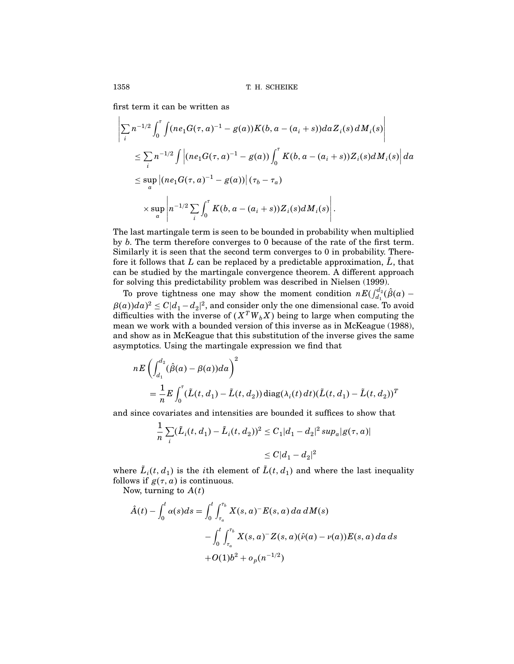first term it can be written as

$$
\left| \sum_{i} n^{-1/2} \int_{0}^{\tau} \int (n e_{1} G(\tau, a)^{-1} - g(a)) K(b, a - (a_{i} + s)) da Z_{i}(s) dM_{i}(s) \right|
$$
  
\n
$$
\leq \sum_{i} n^{-1/2} \int \left| (n e_{1} G(\tau, a)^{-1} - g(a)) \int_{0}^{\tau} K(b, a - (a_{i} + s)) Z_{i}(s) dM_{i}(s) \right| da
$$
  
\n
$$
\leq \sup_{a} \left| (n e_{1} G(\tau, a)^{-1} - g(a)) \right| (\tau_{b} - \tau_{a})
$$
  
\n
$$
\times \sup_{a} \left| n^{-1/2} \sum_{i} \int_{0}^{\tau} K(b, a - (a_{i} + s)) Z_{i}(s) dM_{i}(s) \right|.
$$

The last martingale term is seen to be bounded in probability when multiplied by b. The term therefore converges to 0 because of the rate of the first term. Similarly it is seen that the second term converges to 0 in probability. Therefore it follows that L can be replaced by a predictable approximation,  $\tilde{L}$ , that can be studied by the martingale convergence theorem. A different approach for solving this predictability problem was described in Nielsen (1999).

To prove tightness one may show the moment condition  $nE(\int_{d_1}^{d_2}(\hat{\beta}(a) \beta(a))da$ <sup>2</sup>  $\leq C|d_1-d_2|^2$ , and consider only the one dimensional case. To avoid difficulties with the inverse of  $(X^T W_b X)$  being to large when computing the mean we work with a bounded version of this inverse as in McKeague (1988), and show as in McKeague that this substitution of the inverse gives the same asymptotics. Using the martingale expression we find that

$$
nE\left(\int_{d_1}^{d_2} (\hat{\beta}(a) - \beta(a))da\right)^2
$$
  
=  $\frac{1}{n}E\int_0^{\tau} (\tilde{L}(t, d_1) - \tilde{L}(t, d_2)) diag(\lambda_i(t) dt)(\tilde{L}(t, d_1) - \tilde{L}(t, d_2))^T$ 

and since covariates and intensities are bounded it suffices to show that

$$
\frac{1}{n}\sum_{i}(\tilde{L}_{i}(t, d_{1}) - \tilde{L}_{i}(t, d_{2}))^{2} \leq C_{1}|d_{1} - d_{2}|^{2} \sup_{a} |g(\tau, a)|
$$
  

$$
\leq C|d_{1} - d_{2}|^{2}
$$

where  $L_i(t, d_1)$  is the *i*th element of  $L(t, d_1)$  and where the last inequality follows if  $g(\tau, a)$  is continuous.

Now, turning to  $A(t)$ 

$$
\hat{A}(t) - \int_0^t \alpha(s)ds = \int_0^t \int_{\tau_a}^{\tau_b} X(s, a)^{-} E(s, a) da dM(s)
$$

$$
- \int_0^t \int_{\tau_a}^{\tau_b} X(s, a)^{-} Z(s, a)(\hat{\nu}(a) - \nu(a)) E(s, a) da ds
$$

$$
+ O(1)b^2 + o_p(n^{-1/2})
$$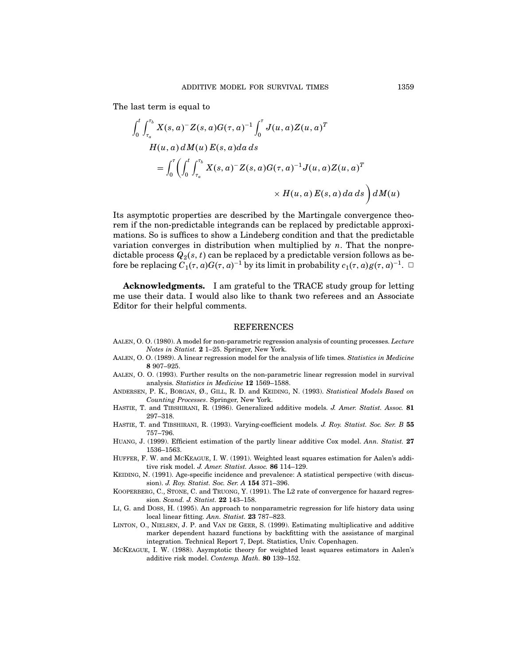The last term is equal to

$$
\int_0^t \int_{\tau_a}^{\tau_b} X(s, a)^{-} Z(s, a) G(\tau, a)^{-1} \int_0^{\tau} J(u, a) Z(u, a)^{T}
$$
  
\n
$$
H(u, a) dM(u) E(s, a) da ds
$$
  
\n
$$
= \int_0^{\tau} \left( \int_0^t \int_{\tau_a}^{\tau_b} X(s, a)^{-} Z(s, a) G(\tau, a)^{-1} J(u, a) Z(u, a)^{T} \right) \times H(u, a) E(s, a) da ds \right) dM(u)
$$

Its asymptotic properties are described by the Martingale convergence theorem if the non-predictable integrands can be replaced by predictable approximations. So is suffices to show a Lindeberg condition and that the predictable variation converges in distribution when multiplied by  $n$ . That the nonpredictable process  $Q_2(s, t)$  can be replaced by a predictable version follows as before be replacing  $C_1(\tau, a)G(\tau, a)^{-1}$  by its limit in probability  $c_1(\tau, a)g(\tau, a)^{-1}$ .  $\Box$ 

Acknowledgments. I am grateful to the TRACE study group for letting me use their data. I would also like to thank two referees and an Associate Editor for their helpful comments.

#### REFERENCES

- AALEN, O. O. (1980). A model for non-parametric regression analysis of counting processes. Lecture Notes in Statist. 2 1–25. Springer, New York.
- AALEN, O. O. (1989). A linear regression model for the analysis of life times. Statistics in Medicine 8 907–925.
- Aalen, O. O. (1993). Further results on the non-parametric linear regression model in survival analysis. Statistics in Medicine 12 1569–1588.
- ANDERSEN, P. K., BORGAN, Ø., GILL, R. D. and KEIDING, N. (1993). Statistical Models Based on Counting Processes. Springer, New York.
- HASTIE, T. and TIBSHIRANI, R. (1986). Generalized additive models. J. Amer. Statist. Assoc. 81 297–318.
- HASTIE, T. and TIBSHIRANI, R. (1993). Varying-coefficient models. J. Roy. Statist. Soc. Ser. B 55 757–796.
- HUANG, J. (1999). Efficient estimation of the partly linear additive Cox model. Ann. Statist. 27 1536–1563.
- Huffer, F. W. and McKeague, I. W. (1991). Weighted least squares estimation for Aalen's additive risk model. J. Amer. Statist. Assoc. 86 114–129.
- KEIDING, N. (1991). Age-specific incidence and prevalence: A statistical perspective (with discussion). J. Roy. Statist. Soc. Ser. A 154 371–396.
- KOOPERBERG, C., STONE, C. and TRUONG, Y. (1991). The L2 rate of convergence for hazard regression. Scand. J. Statist. 22 143–158.
- LI, G. and Doss, H. (1995). An approach to nonparametric regression for life history data using local linear fitting. Ann. Statist. 23 787–823.
- LINTON, O., NIELSEN, J. P. and VAN DE GEER, S. (1999). Estimating multiplicative and additive marker dependent hazard functions by backfitting with the assistance of marginal integration. Technical Report 7, Dept. Statistics, Univ. Copenhagen.
- McKeague, I. W. (1988). Asymptotic theory for weighted least squares estimators in Aalen's additive risk model. Contemp. Math. 80 139–152.